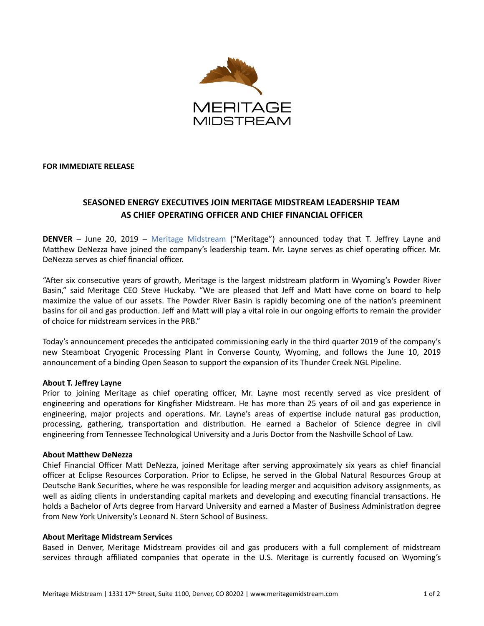

**FOR IMMEDIATE RELEASE** 

# **SEASONED ENERGY EXECUTIVES JOIN MERITAGE MIDSTREAM LEADERSHIP TEAM AS CHIEF OPERATING OFFICER AND CHIEF FINANCIAL OFFICER**

**DENVER** – June 20, 2019 – Meritage Midstream ("Meritage") announced today that T. Jeffrey Layne and Matthew DeNezza have joined the company's leadership team. Mr. Layne serves as chief operating officer. Mr. DeNezza serves as chief financial officer.

"After six consecutive years of growth, Meritage is the largest midstream platform in Wyoming's Powder River Basin," said Meritage CEO Steve Huckaby. "We are pleased that Jeff and Matt have come on board to help maximize the value of our assets. The Powder River Basin is rapidly becoming one of the nation's preeminent basins for oil and gas production. Jeff and Matt will play a vital role in our ongoing efforts to remain the provider of choice for midstream services in the PRB."

Today's announcement precedes the anticipated commissioning early in the third quarter 2019 of the company's new Steamboat Cryogenic Processing Plant in Converse County, Wyoming, and follows the June 10, 2019 announcement of a binding Open Season to support the expansion of its Thunder Creek NGL Pipeline.

### **About T. Jeffrey Layne**

Prior to joining Meritage as chief operating officer, Mr. Layne most recently served as vice president of engineering and operations for Kingfisher Midstream. He has more than 25 years of oil and gas experience in engineering, major projects and operations. Mr. Layne's areas of expertise include natural gas production, processing, gathering, transportation and distribution. He earned a Bachelor of Science degree in civil engineering from Tennessee Technological University and a Juris Doctor from the Nashville School of Law.

### **About Matthew DeNezza**

Chief Financial Officer Matt DeNezza, joined Meritage after serving approximately six years as chief financial officer at Eclipse Resources Corporation. Prior to Eclipse, he served in the Global Natural Resources Group at Deutsche Bank Securities, where he was responsible for leading merger and acquisition advisory assignments, as well as aiding clients in understanding capital markets and developing and executing financial transactions. He holds a Bachelor of Arts degree from Harvard University and earned a Master of Business Administration degree from New York University's Leonard N. Stern School of Business.

### **About Meritage Midstream Services**

Based in Denver, Meritage Midstream provides oil and gas producers with a full complement of midstream services through affiliated companies that operate in the U.S. Meritage is currently focused on Wyoming's